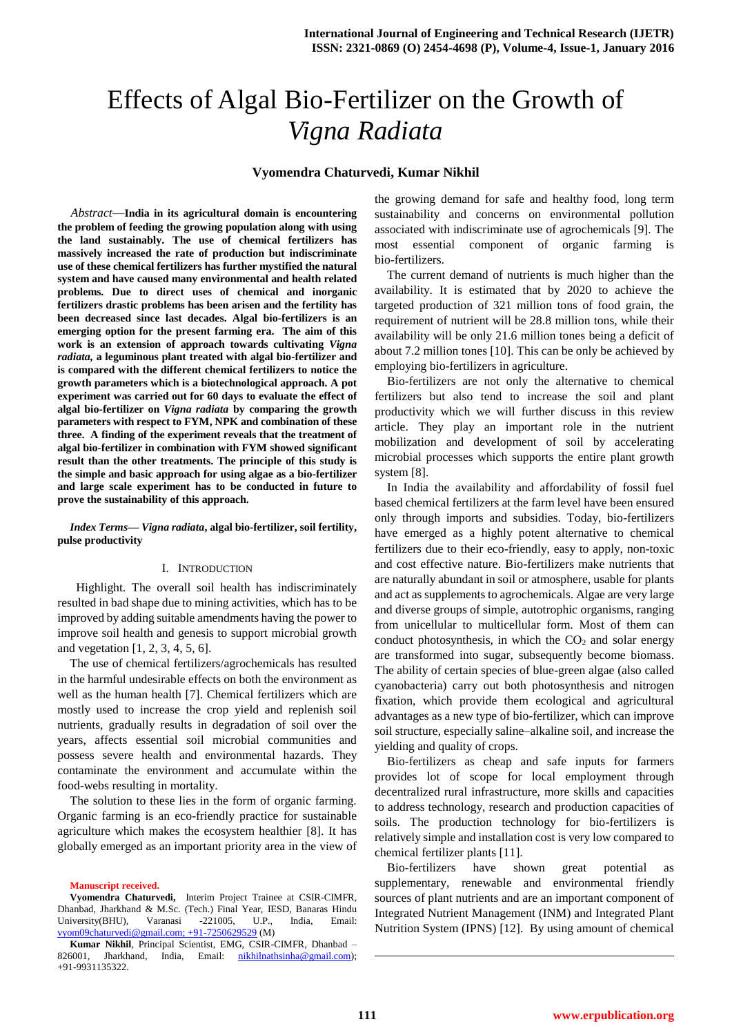# Effects of Algal Bio-Fertilizer on the Growth of *Vigna Radiata*

## **Vyomendra Chaturvedi, Kumar Nikhil**

*Abstract*—**India in its agricultural domain is encountering the problem of feeding the growing population along with using the land sustainably. The use of chemical fertilizers has massively increased the rate of production but indiscriminate use of these chemical fertilizers has further mystified the natural system and have caused many environmental and health related problems. Due to direct uses of chemical and inorganic fertilizers drastic problems has been arisen and the fertility has been decreased since last decades. Algal bio-fertilizers is an emerging option for the present farming era. The aim of this work is an extension of approach towards cultivating** *Vigna radiata,* **a leguminous plant treated with algal bio-fertilizer and is compared with the different chemical fertilizers to notice the growth parameters which is a biotechnological approach. A pot experiment was carried out for 60 days to evaluate the effect of algal bio-fertilizer on** *Vigna radiata* **by comparing the growth parameters with respect to FYM, NPK and combination of these three. A finding of the experiment reveals that the treatment of algal bio-fertilizer in combination with FYM showed significant result than the other treatments. The principle of this study is the simple and basic approach for using algae as a bio-fertilizer and large scale experiment has to be conducted in future to prove the sustainability of this approach.**

*Index Terms***—** *Vigna radiata***, algal bio-fertilizer, soil fertility, pulse productivity**

#### I. INTRODUCTION

 Highlight. The overall soil health has indiscriminately resulted in bad shape due to mining activities, which has to be improved by adding suitable amendments having the power to improve soil health and genesis to support microbial growth and vegetation [1, 2, 3, 4, 5, 6].

The use of chemical fertilizers/agrochemicals has resulted in the harmful undesirable effects on both the environment as well as the human health [7]. Chemical fertilizers which are mostly used to increase the crop yield and replenish soil nutrients, gradually results in degradation of soil over the years, affects essential soil microbial communities and possess severe health and environmental hazards. They contaminate the environment and accumulate within the food-webs resulting in mortality.

The solution to these lies in the form of organic farming. Organic farming is an eco-friendly practice for sustainable agriculture which makes the ecosystem healthier [8]. It has globally emerged as an important priority area in the view of

**Manuscript received.**

the growing demand for safe and healthy food, long term sustainability and concerns on environmental pollution associated with indiscriminate use of agrochemicals [9]. The most essential component of organic farming is bio-fertilizers.

The current demand of nutrients is much higher than the availability. It is estimated that by 2020 to achieve the targeted production of 321 million tons of food grain, the requirement of nutrient will be 28.8 million tons, while their availability will be only 21.6 million tones being a deficit of about 7.2 million tones [10]. This can be only be achieved by employing bio-fertilizers in agriculture.

Bio-fertilizers are not only the alternative to chemical fertilizers but also tend to increase the soil and plant productivity which we will further discuss in this review article. They play an important role in the nutrient mobilization and development of soil by accelerating microbial processes which supports the entire plant growth system [8].

In India the availability and affordability of fossil fuel based chemical fertilizers at the farm level have been ensured only through imports and subsidies. Today, bio-fertilizers have emerged as a highly potent alternative to chemical fertilizers due to their eco-friendly, easy to apply, non-toxic and cost effective nature. Bio-fertilizers make nutrients that are naturally abundant in soil or atmosphere, usable for plants and act as supplements to agrochemicals. Algae are very large and diverse groups of simple, autotrophic organisms, ranging from unicellular to multicellular form. Most of them can conduct photosynthesis, in which the  $CO<sub>2</sub>$  and solar energy are transformed into sugar, subsequently become biomass. The ability of certain species of blue-green algae (also called cyanobacteria) carry out both photosynthesis and nitrogen fixation, which provide them ecological and agricultural advantages as a new type of bio-fertilizer, which can improve soil structure, especially saline–alkaline soil, and increase the yielding and quality of crops.

Bio-fertilizers as cheap and safe inputs for farmers provides lot of scope for local employment through decentralized rural infrastructure, more skills and capacities to address technology, research and production capacities of soils. The production technology for bio-fertilizers is relatively simple and installation cost is very low compared to chemical fertilizer plants [11].

Bio-fertilizers have shown great potential as supplementary, renewable and environmental friendly sources of plant nutrients and are an important component of Integrated Nutrient Management (INM) and Integrated Plant Nutrition System (IPNS) [12]. By using amount of chemical

1

**Vyomendra Chaturvedi,** Interim Project Trainee at CSIR-CIMFR, Dhanbad, Jharkhand & M.Sc. (Tech.) Final Year, IESD, Banaras Hindu University(BHU), Varanasi -221005, U.P., India, Email: [vyom09chaturvedi@gmail.com; +91-7250629529](mailto:vyom09chaturvedi@gmail.com;%20+91-7250629529) (M)

**Kumar Nikhil**, Principal Scientist, EMG, CSIR-CIMFR, Dhanbad – 826001, Jharkhand, India, Email: [nikhilnathsinha@gmail.com\)](mailto:nikhilnathsinha@gmail.com); +91-9931135322.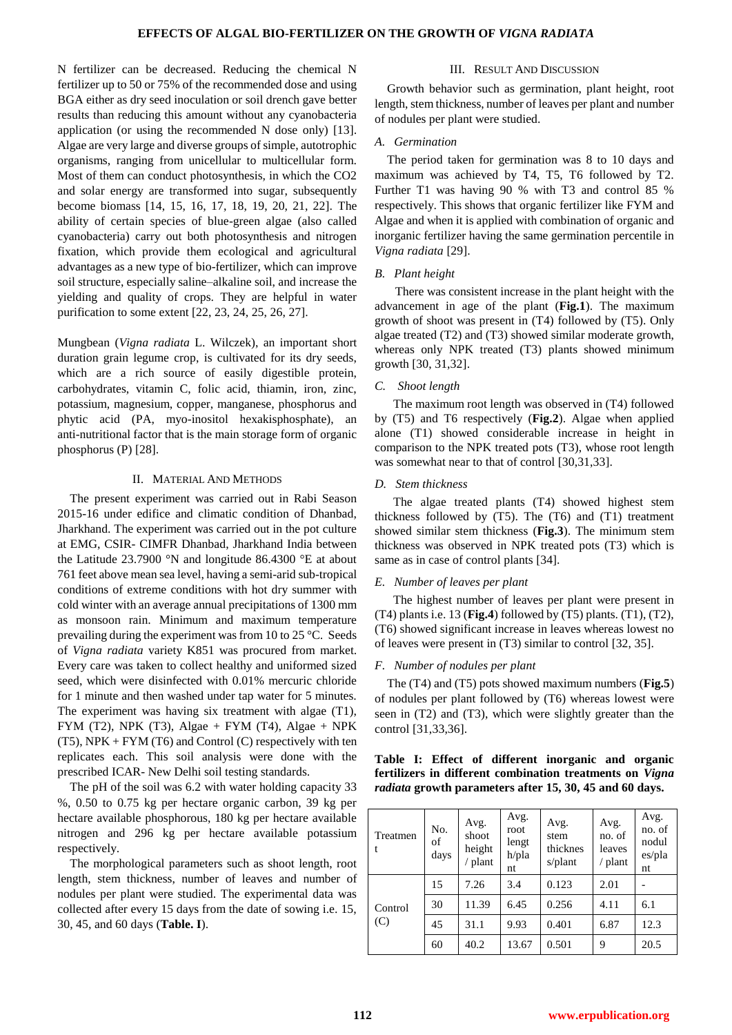### **EFFECTS OF ALGAL BIO-FERTILIZER ON THE GROWTH OF** *VIGNA RADIATA*

N fertilizer can be decreased. Reducing the chemical N fertilizer up to 50 or 75% of the recommended dose and using BGA either as dry seed inoculation or soil drench gave better results than reducing this amount without any cyanobacteria application (or using the recommended N dose only) [13]. Algae are very large and diverse groups of simple, autotrophic organisms, ranging from unicellular to multicellular form. Most of them can conduct photosynthesis, in which the CO2 and solar energy are transformed into sugar, subsequently become biomass [14, 15, 16, 17, 18, 19, 20, 21, 22]. The ability of certain species of blue-green algae (also called cyanobacteria) carry out both photosynthesis and nitrogen fixation, which provide them ecological and agricultural advantages as a new type of bio-fertilizer, which can improve soil structure, especially saline–alkaline soil, and increase the yielding and quality of crops. They are helpful in water purification to some extent [22, 23, 24, 25, 26, 27].

Mungbean (*Vigna radiata* L. Wilczek), an important short duration grain legume crop, is cultivated for its dry seeds, which are a rich source of easily digestible protein, carbohydrates, vitamin C, folic acid, thiamin, iron, zinc, potassium, magnesium, copper, manganese, phosphorus and phytic acid (PA, myo-inositol hexakisphosphate), an anti-nutritional factor that is the main storage form of organic phosphorus (P) [28].

### II. MATERIAL AND METHODS

The present experiment was carried out in Rabi Season 2015-16 under edifice and climatic condition of Dhanbad, Jharkhand. The experiment was carried out in the pot culture at EMG, CSIR- CIMFR Dhanbad, Jharkhand India between the Latitude 23.7900 °N and longitude 86.4300 °E at about 761 feet above mean sea level, having a semi-arid sub-tropical conditions of extreme conditions with hot dry summer with cold winter with an average annual precipitations of 1300 mm as monsoon rain. Minimum and maximum temperature prevailing during the experiment was from 10 to 25 °C. Seeds of *Vigna radiata* variety K851 was procured from market. Every care was taken to collect healthy and uniformed sized seed, which were disinfected with 0.01% mercuric chloride for 1 minute and then washed under tap water for 5 minutes. The experiment was having six treatment with algae (T1), FYM (T2), NPK (T3), Algae + FYM (T4), Algae + NPK  $(T5)$ , NPK + FYM  $(T6)$  and Control  $(C)$  respectively with ten replicates each. This soil analysis were done with the prescribed ICAR- New Delhi soil testing standards.

The pH of the soil was 6.2 with water holding capacity 33 %, 0.50 to 0.75 kg per hectare organic carbon, 39 kg per hectare available phosphorous, 180 kg per hectare available nitrogen and 296 kg per hectare available potassium respectively.

The morphological parameters such as shoot length, root length, stem thickness, number of leaves and number of nodules per plant were studied. The experimental data was collected after every 15 days from the date of sowing i.e. 15, 30, 45, and 60 days (**Table. I**).

### III. RESULT AND DISCUSSION

Growth behavior such as germination, plant height, root length, stem thickness, number of leaves per plant and number of nodules per plant were studied.

## *A. Germination*

The period taken for germination was 8 to 10 days and maximum was achieved by T4, T5, T6 followed by T2. Further T1 was having 90 % with T3 and control 85 % respectively. This shows that organic fertilizer like FYM and Algae and when it is applied with combination of organic and inorganic fertilizer having the same germination percentile in *Vigna radiata* [29].

## *B. Plant height*

There was consistent increase in the plant height with the advancement in age of the plant (**Fig.1**). The maximum growth of shoot was present in (T4) followed by (T5). Only algae treated (T2) and (T3) showed similar moderate growth, whereas only NPK treated (T3) plants showed minimum growth [30, 31,32].

#### *C. Shoot length*

 The maximum root length was observed in (T4) followed by (T5) and T6 respectively (**Fig.2**). Algae when applied alone (T1) showed considerable increase in height in comparison to the NPK treated pots (T3), whose root length was somewhat near to that of control [30,31,33].

#### *D. Stem thickness*

 The algae treated plants (T4) showed highest stem thickness followed by (T5). The (T6) and (T1) treatment showed similar stem thickness (**Fig.3**). The minimum stem thickness was observed in NPK treated pots (T3) which is same as in case of control plants [34].

#### *E. Number of leaves per plant*

 The highest number of leaves per plant were present in (T4) plants i.e. 13 (**Fig.4**) followed by (T5) plants. (T1), (T2), (T6) showed significant increase in leaves whereas lowest no of leaves were present in (T3) similar to control [32, 35].

## *F. Number of nodules per plant*

The (T4) and (T5) pots showed maximum numbers (**Fig.5**) of nodules per plant followed by (T6) whereas lowest were seen in (T2) and (T3), which were slightly greater than the control [31,33,36].

## **Table I: Effect of different inorganic and organic fertilizers in different combination treatments on** *Vigna radiata* **growth parameters after 15, 30, 45 and 60 days.**

| Treatmen<br>t  | No.<br>of<br>days | Avg.<br>shoot<br>height<br>/ plant | Avg.<br>root<br>lengt<br>h/pla<br>nt | Avg.<br>stem<br>thicknes<br>s/plant | Avg.<br>no. of<br>leaves<br>$/$ plant | Avg.<br>no. of<br>nodul<br>es/pla<br>nt |
|----------------|-------------------|------------------------------------|--------------------------------------|-------------------------------------|---------------------------------------|-----------------------------------------|
| Control<br>(C) | 15                | 7.26                               | 3.4                                  | 0.123                               | 2.01                                  |                                         |
|                | 30                | 11.39                              | 6.45                                 | 0.256                               | 4.11                                  | 6.1                                     |
|                | 45                | 31.1                               | 9.93                                 | 0.401                               | 6.87                                  | 12.3                                    |
|                | 60                | 40.2                               | 13.67                                | 0.501                               | 9                                     | 20.5                                    |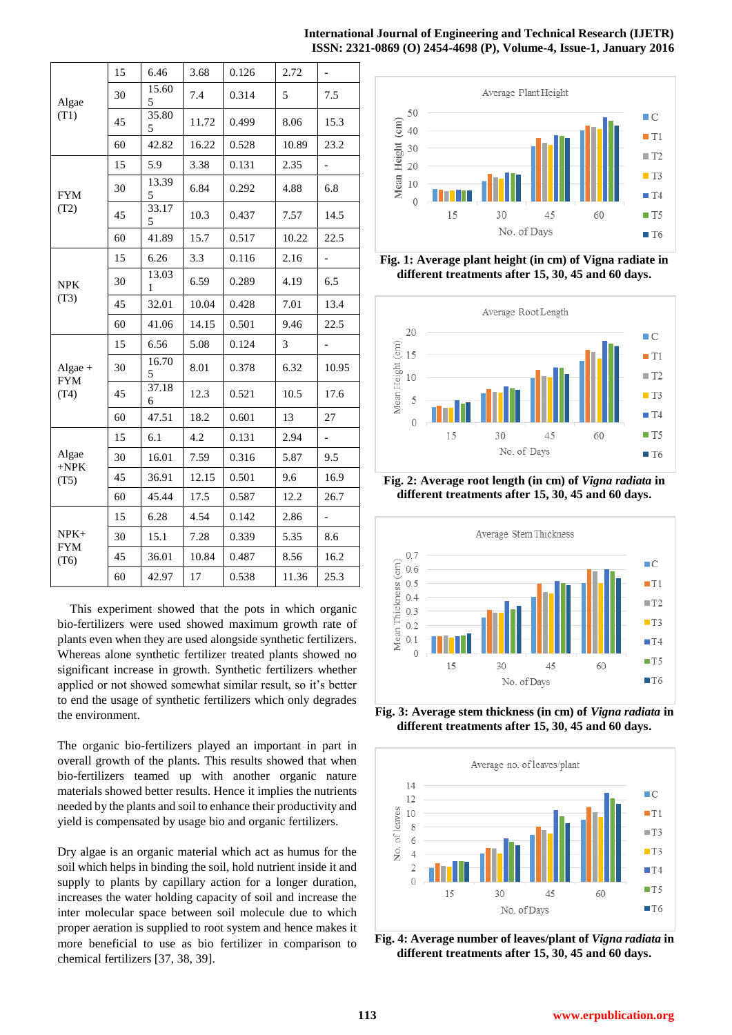## **International Journal of Engineering and Technical Research (IJETR) ISSN: 2321-0869 (O) 2454-4698 (P), Volume-4, Issue-1, January 2016**

| Algae<br>(T1)                   | 15 | 6.46       | 3.68  | 0.126 | 2.72  | $\overline{\phantom{0}}$ |
|---------------------------------|----|------------|-------|-------|-------|--------------------------|
|                                 | 30 | 15.60<br>5 | 7.4   | 0.314 | 5     | 7.5                      |
|                                 | 45 | 35.80<br>5 | 11.72 | 0.499 | 8.06  | 15.3                     |
|                                 | 60 | 42.82      | 16.22 | 0.528 | 10.89 | 23.2                     |
| <b>FYM</b><br>(T2)              | 15 | 5.9        | 3.38  | 0.131 | 2.35  | $\overline{\phantom{0}}$ |
|                                 | 30 | 13.39<br>5 | 6.84  | 0.292 | 4.88  | 6.8                      |
|                                 | 45 | 33.17<br>5 | 10.3  | 0.437 | 7.57  | 14.5                     |
|                                 | 60 | 41.89      | 15.7  | 0.517 | 10.22 | 22.5                     |
| <b>NPK</b><br>(T3)              | 15 | 6.26       | 3.3   | 0.116 | 2.16  | $\overline{\phantom{0}}$ |
|                                 | 30 | 13.03<br>1 | 6.59  | 0.289 | 4.19  | 6.5                      |
|                                 | 45 | 32.01      | 10.04 | 0.428 | 7.01  | 13.4                     |
|                                 | 60 | 41.06      | 14.15 | 0.501 | 9.46  | 22.5                     |
| Algae $+$<br><b>FYM</b><br>(T4) | 15 | 6.56       | 5.08  | 0.124 | 3     | $\overline{\phantom{0}}$ |
|                                 | 30 | 16.70<br>5 | 8.01  | 0.378 | 6.32  | 10.95                    |
|                                 | 45 | 37.18<br>6 | 12.3  | 0.521 | 10.5  | 17.6                     |
|                                 | 60 | 47.51      | 18.2  | 0.601 | 13    | 27                       |
| Algae<br>$+NPK$<br>(T5)         | 15 | 6.1        | 4.2   | 0.131 | 2.94  | $\overline{\phantom{a}}$ |
|                                 | 30 | 16.01      | 7.59  | 0.316 | 5.87  | 9.5                      |
|                                 | 45 | 36.91      | 12.15 | 0.501 | 9.6   | 16.9                     |
|                                 | 60 | 45.44      | 17.5  | 0.587 | 12.2  | 26.7                     |
| $NPK+$<br><b>FYM</b><br>(T6)    | 15 | 6.28       | 4.54  | 0.142 | 2.86  |                          |
|                                 | 30 | 15.1       | 7.28  | 0.339 | 5.35  | 8.6                      |
|                                 | 45 | 36.01      | 10.84 | 0.487 | 8.56  | 16.2                     |
|                                 | 60 | 42.97      | 17    | 0.538 | 11.36 | 25.3                     |

This experiment showed that the pots in which organic bio-fertilizers were used showed maximum growth rate of plants even when they are used alongside synthetic fertilizers. Whereas alone synthetic fertilizer treated plants showed no significant increase in growth. Synthetic fertilizers whether applied or not showed somewhat similar result, so it's better to end the usage of synthetic fertilizers which only degrades the environment.

The organic bio-fertilizers played an important in part in overall growth of the plants. This results showed that when bio-fertilizers teamed up with another organic nature materials showed better results. Hence it implies the nutrients needed by the plants and soil to enhance their productivity and yield is compensated by usage bio and organic fertilizers.

Dry algae is an organic material which act as humus for the soil which helps in binding the soil, hold nutrient inside it and supply to plants by capillary action for a longer duration, increases the water holding capacity of soil and increase the inter molecular space between soil molecule due to which proper aeration is supplied to root system and hence makes it more beneficial to use as bio fertilizer in comparison to chemical fertilizers [37, 38, 39].



**Fig. 1: Average plant height (in cm) of Vigna radiate in different treatments after 15, 30, 45 and 60 days.**



**Fig. 2: Average root length (in cm) of** *Vigna radiata* **in different treatments after 15, 30, 45 and 60 days.**



**Fig. 3: Average stem thickness (in cm) of** *Vigna radiata* **in different treatments after 15, 30, 45 and 60 days.**



**Fig. 4: Average number of leaves/plant of** *Vigna radiata* **in different treatments after 15, 30, 45 and 60 days.**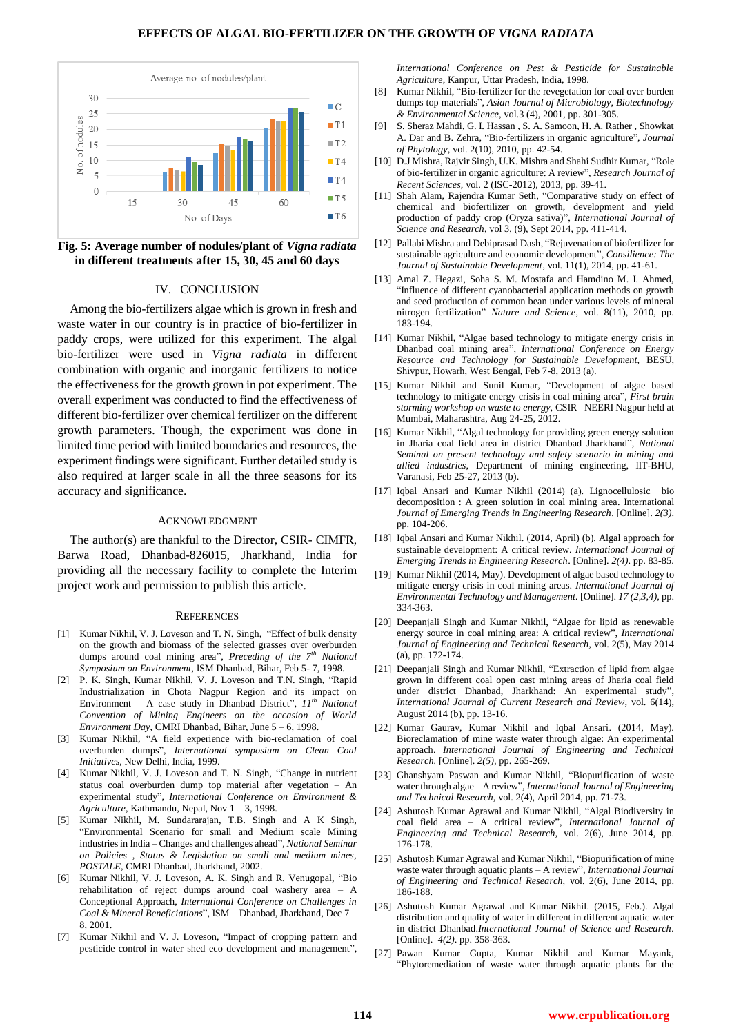#### **EFFECTS OF ALGAL BIO-FERTILIZER ON THE GROWTH OF** *VIGNA RADIATA*



**Fig. 5: Average number of nodules/plant of** *Vigna radiata* **in different treatments after 15, 30, 45 and 60 days**

## IV. CONCLUSION

Among the bio-fertilizers algae which is grown in fresh and waste water in our country is in practice of bio-fertilizer in paddy crops, were utilized for this experiment. The algal bio-fertilizer were used in *Vigna radiata* in different combination with organic and inorganic fertilizers to notice the effectiveness for the growth grown in pot experiment. The overall experiment was conducted to find the effectiveness of different bio-fertilizer over chemical fertilizer on the different growth parameters. Though, the experiment was done in limited time period with limited boundaries and resources, the experiment findings were significant. Further detailed study is also required at larger scale in all the three seasons for its accuracy and significance.

#### ACKNOWLEDGMENT

The author(s) are thankful to the Director, CSIR- CIMFR, Barwa Road, Dhanbad-826015, Jharkhand, India for providing all the necessary facility to complete the Interim project work and permission to publish this article.

#### **REFERENCES**

- [1] Kumar Nikhil, V. J. Loveson and T. N. Singh, "Effect of bulk density on the growth and biomass of the selected grasses over overburden dumps around coal mining area", Preceding of the 7<sup>th</sup> National *Symposium on Environment,* ISM Dhanbad, Bihar, Feb 5- 7, 1998.
- [2] P. K. Singh, Kumar Nikhil, V. J. Loveson and T.N. Singh, "Rapid Industrialization in Chota Nagpur Region and its impact on Environment – A case study in Dhanbad District",  $11<sup>th</sup> National$ *Convention of Mining Engineers on the occasion of World Environment Day*, CMRI Dhanbad, Bihar, June 5 – 6, 1998.
- [3] Kumar Nikhil, "A field experience with bio-reclamation of coal overburden dumps‖, *International symposium on Clean Coal Initiatives*, New Delhi, India, 1999.
- [4] Kumar Nikhil, V. J. Loveson and T. N. Singh, "Change in nutrient status coal overburden dump top material after vegetation – An experimental study", *International Conference on Environment & Agriculture*, Kathmandu, Nepal, Nov 1 – 3, 1998.
- Kumar Nikhil, M. Sundararajan, T.B. Singh and A K Singh, ―Environmental Scenario for small and Medium scale Mining industries in India – Changes and challenges ahead", *National Seminar on Policies , Status & Legislation on small and medium mines, POSTALE*, CMRI Dhanbad, Jharkhand, 2002.
- Kumar Nikhil, V. J. Loveson, A. K. Singh and R. Venugopal, "Bio rehabilitation of reject dumps around coal washery area – A Conceptional Approach, *International Conference on Challenges in Coal & Mineral Beneficiations*‖, ISM – Dhanbad, Jharkhand, Dec 7 – 8, 2001.
- [7] Kumar Nikhil and V. J. Loveson, "Impact of cropping pattern and pesticide control in water shed eco development and management",

*International Conference on Pest & Pesticide for Sustainable Agriculture*, Kanpur, Uttar Pradesh, India, 1998.

- [8] Kumar Nikhil, "Bio-fertilizer for the revegetation for coal over burden dumps top materials", *Asian Journal of Microbiology, Biotechnology & Environmental Science,* vol.3 (4), 2001, pp. 301-305.
- [9] S. Sheraz Mahdi, G. I. Hassan , S. A. Samoon, H. A. Rather , Showkat A. Dar and B. Zehra, "Bio-fertilizers in organic agriculture", *Journal of Phytology,* vol. 2(10), 2010, pp. 42-54.
- [10] D.J Mishra, Rajvir Singh, U.K. Mishra and Shahi Sudhir Kumar, "Role of bio-fertilizer in organic agriculture: A review‖, *Research Journal of Recent Sciences,* vol. 2 (ISC-2012), 2013, pp. 39-41.
- [11] Shah Alam, Rajendra Kumar Seth, "Comparative study on effect of chemical and biofertilizer on growth, development and yield production of paddy crop (Oryza sativa)", *International Journal of Science and Research*, vol 3, (9), Sept 2014, pp. 411-414.
- [12] Pallabi Mishra and Debiprasad Dash, "Rejuvenation of biofertilizer for sustainable agriculture and economic development", *Consilience: The Journal of Sustainable Development*, vol. 11(1), 2014, pp. 41-61.
- [13] Amal Z. Hegazi, Soha S. M. Mostafa and Hamdino M. I. Ahmed, ―Influence of different cyanobacterial application methods on growth and seed production of common bean under various levels of mineral nitrogen fertilization" *Nature and Science*, vol. 8(11), 2010, pp. 183-194.
- [14] Kumar Nikhil, "Algae based technology to mitigate energy crisis in Dhanbad coal mining area‖, *International Conference on Energy Resource and Technology for Sustainable Development,* BESU, Shivpur, Howarh, West Bengal, Feb 7-8, 2013 (a).
- [15] Kumar Nikhil and Sunil Kumar, "Development of algae based technology to mitigate energy crisis in coal mining area", *First brain storming workshop on waste to energy,* CSIR –NEERI Nagpur held at Mumbai, Maharashtra, Aug 24-25, 2012.
- [16] Kumar Nikhil, "Algal technology for providing green energy solution in Jharia coal field area in district Dhanbad Jharkhand", *National Seminal on present technology and safety scenario in mining and allied industries,* Department of mining engineering, IIT-BHU, Varanasi, Feb 25-27, 2013 (b).
- [17] Iqbal Ansari and Kumar Nikhil (2014) (a). Lignocellulosic bio decomposition : A green solution in coal mining area. International *Journal of Emerging Trends in Engineering Research*. [Online]. *2(3)*. pp. 104-206.
- [18] Iqbal Ansari and Kumar Nikhil. (2014, April) (b). Algal approach for sustainable development: A critical review. *International Journal of Emerging Trends in Engineering Research*. [Online]. *2(4)*. pp. 83-85.
- [19] Kumar Nikhil (2014, May). Development of algae based technology to mitigate energy crisis in coal mining areas. *International Journal of Environmental Technology and Management.* [Online]. *17 (2,3,4),* pp. 334-363.
- [20] Deepanjali Singh and Kumar Nikhil, "Algae for lipid as renewable energy source in coal mining area: A critical review", *International Journal of Engineering and Technical Research,* vol. 2(5), May 2014 (a), pp. 172-174.
- [21] Deepanjali Singh and Kumar Nikhil, "Extraction of lipid from algae grown in different coal open cast mining areas of Jharia coal field under district Dhanbad, Jharkhand: An experimental study" *International Journal of Current Research and Review,* vol. 6(14), August 2014 (b), pp. 13-16.
- [22] Kumar Gaurav, Kumar Nikhil and Iqbal Ansari. (2014, May). Bioreclamation of mine waste water through algae: An experimental approach. *International Journal of Engineering and Technical Research.* [Online]. *2(5),* pp. 265-269.
- [23] Ghanshyam Paswan and Kumar Nikhil, "Biopurification of waste water through algae - A review", *International Journal of Engineering and Technical Research,* vol. 2(4)*,* April 2014, pp. 71-73.
- [24] Ashutosh Kumar Agrawal and Kumar Nikhil, "Algal Biodiversity in coal field area - A critical review", *International Journal of Engineering and Technical Research,* vol. 2(6), June 2014, pp. 176-178.
- [25] Ashutosh Kumar Agrawal and Kumar Nikhil, "Biopurification of mine waste water through aquatic plants – A review", *International Journal of Engineering and Technical Research,* vol. 2(6), June 2014, pp. 186-188.
- [26] Ashutosh Kumar Agrawal and Kumar Nikhil. (2015, Feb.). Algal distribution and quality of water in different in different aquatic water in district Dhanbad.*International Journal of Science and Research.*  [Online]. *4(2)*. pp. 358-363.
- [27] Pawan Kumar Gupta, Kumar Nikhil and Kumar Mayank, ―Phytoremediation of waste water through aquatic plants for the